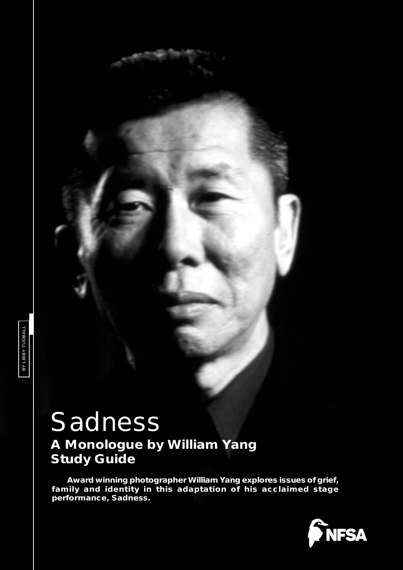# *Sadness*

# *A Monologue by William Yang* **Study Guide**

**Award winning photographer William Yang explores issues of grief, family and identity in this adaptation of his acclaimed stage performance,** *Sadness***.**

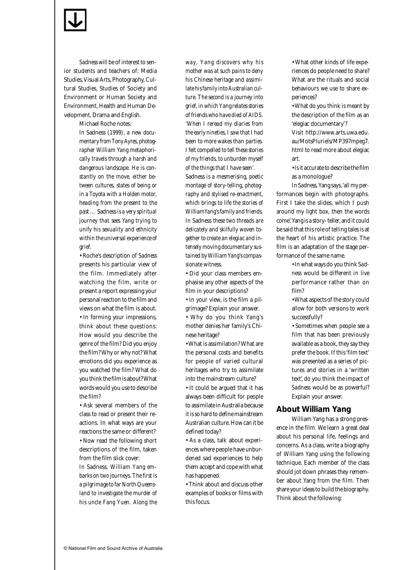

*Sadness* will be of interest to senior students and teachers of: Media Studies, Visual Arts, Photography, Cultural Studies, Studies of Society and Environment or Human Society and Environment, Health and Human Development, Drama and English.

Michael Roche notes:

*In* Sadness *(1999), a new documentary from Tony Ayres, photographer William Yang metaphorically travels through a harsh and dangerous landscape. He is constantly on the move, either between cultures, states of being or in a Toyota with a Holden motor, heading from the present to the past …* Sadness *is a very spiritual journey that sees Yang trying to unify his sexuality and ethnicity within the universal experience of grief.*

• Roche's description of *Sadness* presents his particular view of the film. Immediately after watching the film, write or present a report expressing your personal reaction to the film and views on what the film is about. • In forming your impressions, think about these questions: How would you describe the genre of the film? Did you enjoy the film? Why or why not? What emotions did you experience as you watched the film? What do you think the film is about? What words would you use to describe the film?

• Ask several members of the class to read or present their reactions. In what ways are your reactions the same or different? • Now read the following short descriptions of the film, taken from the film slick cover:

*In* Sadness*, William Yang embarks on two journeys. The first is a pilgrimage to far North Queensland to investigate the murder of his uncle Fang Yuen. Along the*

*way, Yang discovers why his mother was at such pains to deny his Chinese heritage and assimilate his family into Australian culture. The second is a journey into grief, in which Yang relates stories of friends who have died of AIDS. 'When I reread my diaries from the early nineties, I saw that I had been to more wakes than parties. I felt compelled to tell these stories of my friends, to unburden myself of the things that I have seen'.* Sadness *is a mesmerising, poetic montage of story-telling, photography and stylised re-enactment, which brings to life the stories of WilliamYang's family and friends. In* Sadness *these two threads are delicately and skilfully woven together to create an elegiac and intensely moving documentary sus-*

• Did your class members emphasise any other aspects of the film in your descriptions?

*tained by William Yang's compas-*

*sionate witness.*

• In your view, is the film a pilgrimage? Explain your answer.

• Why do you think Yang's mother denies her family's Chinese heritage?

• What is assimilation? What are the personal costs and benefits for people of varied cultural heritages who try to assimilate into the mainstream culture?

• It could be argued that it has always been difficult for people to assimilate in Australia because it is so hard to define mainstream Australian culture. How can it be defined today?

• As a class, talk about experiences where people have unburdened sad experiences to help them accept and cope with what has happened.

• Think about and discuss other examples of books or films with this focus.

• What other kinds of life experiences do people need to share? What are the rituals and social behaviours we use to share experiences?

• What do you think is meant by the description of the film as an 'elegiac documentary'?

Visit http://www.arts.uwa.edu. au/MotsPluriels/MP397mpeg7. html to read more about elegiac art.

• Is it accurate to describe the film as a monologue?

In *Sadness,* Yang says, 'all my performances begin with photographs. First I take the slides, which I push around my light box, then the words come'. Yang is a story- teller, and it could be said that this role of telling tales is at the heart of his artistic practice. The film is an adaptation of the stage performance of the same name.

> • In what ways do you think *Sadness* would be different in live performance rather than on film?

> • What aspects of the story could allow for both versions to work successfully?

> • Sometimes when people see a film that has been previously available as a book, they say they prefer the book. If this 'film text' was presented as a series of pictures and stories in a 'written text', do you think the impact of *Sadness* would be as powerful? Explain your answer.

#### **About William Yang**

William Yang has a strong presence in the film. We learn a great deal about his personal life, feelings and concerns. As a class, write a biography of William Yang using the following technique. Each member of the class should jot down phrases they remember about Yang from the film. Then share your ideas to build the biography. Think about the following: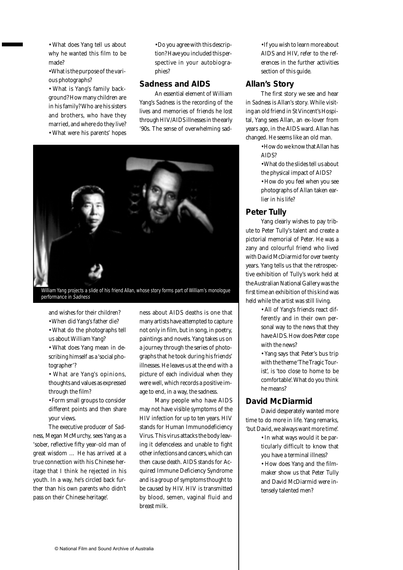• What does Yang tell us about why he wanted this film to be made?

• What is the purpose of the various photographs?

• What is Yang's family background? How many children are in his family? Who are his sisters and brothers, who have they married, and where do they live?

• What were his parents' hopes

#### • Do you agree with this description? Have you included this perspective in your autobiographies?

#### *Sadness* **and AIDS**

An essential element of William Yang's *Sadness* is the recording of the lives and memories of friends he lost through HIV/AIDS illnesses in the early '90s. The sense of overwhelming sad-



William Yang projects a slide of his friend Allan, whose story forms part of William's monologue performance in Sadness

and wishes for their children?

- When did Yang's father die?
- What do the photographs tell us about William Yang?

• What does Yang mean in describing himself as a 'social photographer'?

• What are Yang's opinions, thoughts and values as expressed through the film?

• Form small groups to consider different points and then share your views.

The executive producer of *Sadness,* Megan McMurchy, sees Yang as a 'sober, reflective fifty year-old man of great wisdom … He has arrived at a true connection with his Chinese heritage that I think he rejected in his youth. In a way, he's circled back further than his own parents who didn't pass on their Chinese heritage'.

ness about AIDS deaths is one that many artists have attempted to capture not only in film, but in song, in poetry, paintings and novels. Yang takes us on a journey through the series of photographs that he took during his friends' illnesses. He leaves us at the end with a picture of each individual when they were well, which records a positive image to end, in a way, the sadness.

Many people who have AIDS may not have visible symptoms of the HIV infection for up to ten years. HIV stands for Human Immunodeficiency Virus. This virus attacks the body leaving it defenceless and unable to fight other infections and cancers, which can then cause death. AIDS stands for Acquired Immune Deficiency Syndrome and is a group of symptoms thought to be caused by HIV. HIV is transmitted by blood, semen, vaginal fluid and breast milk.

• If you wish to learn more about AIDS and HIV, refer to the references in the further activities section of this guide.

#### **Allan's Story**

The first story we see and hear in *Sadness* is Allan's story. While visiting an old friend in St Vincent's Hospital, Yang sees Allan, an ex-lover from years ago, in the AIDS ward. Allan has changed. He seems like an old man.

> • How do we know that Allan has AIDS?

• What do the slides tell us about the physical impact of AIDS?

• How do you feel when you see photographs of Allan taken earlier in his life?

#### **Peter Tully**

Yang clearly wishes to pay tribute to Peter Tully's talent and create a pictorial memorial of Peter. He was a zany and colourful friend who lived with David McDiarmid for over twenty years. Yang tells us that the retrospective exhibition of Tully's work held at the Australian National Gallery was the first time an exhibition of this kind was held while the artist was still living.

> • All of Yang's friends react differently and in their own personal way to the news that they have AIDS. How does Peter cope with the news?

> • Yang says that Peter's bus trip with the theme 'The Tragic Tourist', is 'too close to home to be comfortable'. What do you think he means?

#### **David McDiarmid**

David desperately wanted more time to do more in life. Yang remarks, 'but David, we always want more time'.

> • In what ways would it be particularly difficult to know that you have a terminal illness?

> • How does Yang and the filmmaker show us that Peter Tully and David McDiarmid were intensely talented men?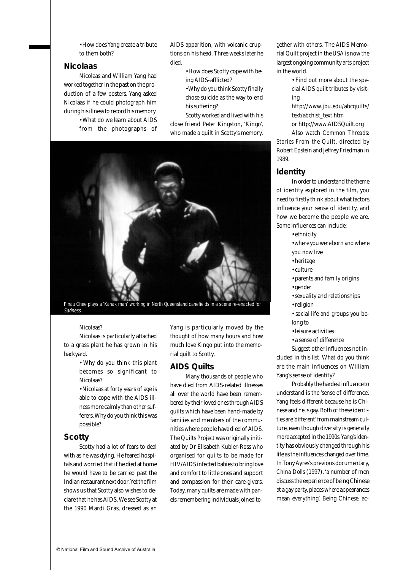• How does Yang create a tribute to them both?

#### **Nicolaas**

Nicolaas and William Yang had worked together in the past on the production of a few posters. Yang asked Nicolaas if he could photograph him during his illness to record his memory.

• What do we learn about AIDS from the photographs of AIDS apparition, with volcanic eruptions on his head. Three weeks later he died.

> • How does Scotty cope with being AIDS-afflicted?

• Why do you think Scotty finally chose suicide as the way to end his suffering?

Scotty worked and lived with his close friend Peter Kingston, 'Kingo', who made a quilt in Scotty's memory.



Pinau Ghee plays a 'Kanak man' working in North Queensland canefields in a scene re-enacted for Sadness.

#### Nicolaas?

Nicolaas is particularly attached to a grass plant he has grown in his backyard.

> • Why do you think this plant becomes so significant to Nicolaas?

> • Nicolaas at forty years of age is able to cope with the AIDS illness more calmly than other sufferers. Why do you think this was possible?

#### **Scotty**

Scotty had a lot of fears to deal with as he was dying. He feared hospitals and worried that if he died at home he would have to be carried past the Indian restaurant next door. Yet the film shows us that Scotty also wishes to declare that he has AIDS. We see Scotty at the 1990 Mardi Gras, dressed as an Yang is particularly moved by the thought of how many hours and how much love Kingo put into the memorial quilt to Scotty.

#### **AIDS Quilts**

Many thousands of people who have died from AIDS-related illnesses all over the world have been remembered by their loved ones through AIDS quilts which have been hand-made by families and members of the communities where people have died of AIDS. The Quilts Project was originally initiated by Dr Elisabeth Kubler-Ross who organised for quilts to be made for HIV/AIDS infected babies to bring love and comfort to little ones and support and compassion for their care-givers. Today, many quilts are made with panels remembering individuals joined together with others. The AIDS Memorial Quilt project in the USA is now the largest ongoing community arts project in the world.

> • Find out more about the special AIDS quilt tributes by visiting

> http://www.jbu.edu/abcquilts/ text/abchist\_text.htm

or http://www.AIDSQuilt.org

Also watch *Common Threads: Stories From the Quilt*, directed by Robert Epstein and Jeffrey Friedman in 1989.

#### **Identity**

In order to understand the theme of identity explored in the film, you need to firstly think about what factors influence your sense of identity, and how we become the people we are. Some influences can include:

• ethnicity

- where you were born and where you now live
- heritage
- culture
- parents and family origins
- gender
- sexuality and relationships
- religion

• social life and groups you belong to

- leisure activities
- a sense of difference

Suggest other influences not included in this list. What do you think are the main influences on William Yang's sense of identity?

Probably the hardest influence to understand is the 'sense of difference'. Yang feels different because he is Chinese and he is gay. Both of these identities are 'different' from mainstream culture, even though diversity is generally more accepted in the 1990s. Yang's identity has obviously changed through his life as the influences changed over time. In Tony Ayres's previous documentary, *China Dolls* (1997), 'a number of men discuss the experience of being Chinese at a gay party, places where appearances mean everything'. Being Chinese, ac-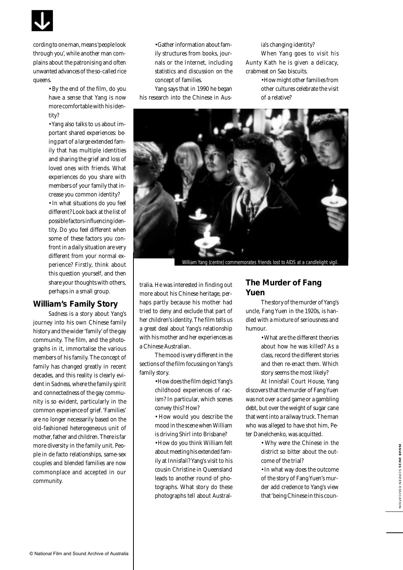

cording to one man, means 'people look through you', while another man complains about the patronising and often unwanted advances of the so-called rice queens.

> • By the end of the film, do you have a sense that Yang is now more comfortable with his identity?

• Yang also talks to us about important shared experiences: being part of a large extended family that has multiple identities and sharing the grief and loss of loved ones with friends. What experiences do you share with members of your family that increase you common identity? • In what situations do you feel different? Look back at the list of possible factors influencing identity. Do you feel different when some of these factors you confront in a daily situation are very different from your normal experience? Firstly, think about this question yourself, and then share your thoughts with others, perhaps in a small group.

#### **William's Family Story**

*Sadness* is a story about Yang's journey into his own Chinese family history and the wider 'family' of the gay community. The film, and the photographs in it, immortalise the various members of his family. The concept of family has changed greatly in recent decades, and this reality is clearly evident in *Sadness,* where the family spirit and connectedness of the gay community is so evident, particularly in the common experience of grief. 'Families' are no longer necessarily based on the old-fashioned heterogeneous unit of mother, father and children. There is far more diversity in the family unit. People in de facto relationships, same-sex couples and blended families are now commonplace and accepted in our community.

• Gather information about family structures from books, journals or the Internet, including statistics and discussion on the concept of families.

Yang says that in 1990 he began his research into the Chinese in Ausia's changing identity?

When Yang goes to visit his Aunty Kath he is given a delicacy, crabmeat on Sao biscuits.

> • How might other families from other cultures celebrate the visit of a relative?



William Yang (centre) commemorates friends lost to AIDS at a candlelight vigil.

tralia. He was interested in finding out more about his Chinese heritage, perhaps partly because his mother had tried to deny and exclude that part of her children's identity. The film tells us a great deal about Yang's relationship with his mother and her experiences as a Chinese Australian.

The mood is very different in the sections of the film focussing on Yang's family story.

- How does the film depict Yang's childhood experiences of racism? In particular, which scenes convey this? How?
- How would you describe the mood in the scene when William is driving Shirl into Brisbane?

• How do you think William felt about meeting his extended family at Innisfail? Yang's visit to his cousin Christine in Queensland leads to another round of photographs. What story do these photographs tell about Austral-

#### **The Murder of Fang Yuen**

The story of the murder of Yang's uncle, Fang Yuen in the 1920s, is handled with a mixture of seriousness and humour.

> • What are the different theories about how he was killed? As a class, record the different stories and then re-enact them. Which story seems the most likely?

At Innisfail Court House, Yang discovers that the murder of Fang Yuen was not over a card game or a gambling debt, but over the weight of sugar cane that went into a railway truck. The man who was alleged to have shot him, Peter Danelchenko, was acquitted.

> • Why were the Chinese in the district so bitter about the outcome of the trial?

• In what way does the outcome of the story of Fang Yuen's murder add credence to Yang's view that 'being Chinese in this coun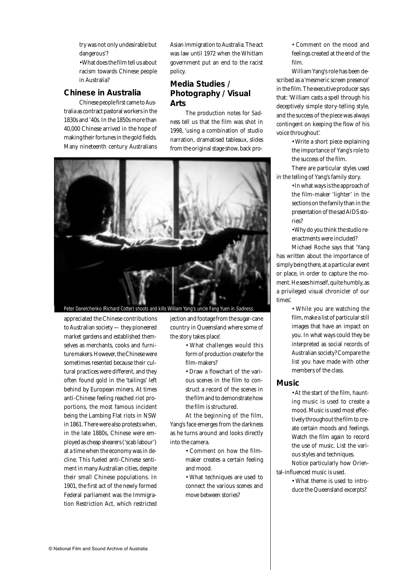try was not only undesirable but dangerous'?

• What does the film tell us about racism towards Chinese people in Australia?

#### **Chinese in Australia**

Chinese people first came to Australia as contract pastoral workers in the 1830s and '40s. In the 1850s more than 40,000 Chinese arrived in the hope of making their fortunes in the gold fields. Many nineteenth century Australians

Asian immigration to Australia. The act was law until 1972 when the Whitlam government put an end to the racist policy.

## **Media Studies / Photography / Visual Arts**

The production notes for *Sadness* tell us that the film was shot in 1998, 'using a combination of studio narration, dramatised tableaux, slides from the original stage show, back pro-



appreciated the Chinese contributions to Australian society — they pioneered market gardens and established themselves as merchants, cooks and furniture makers. However, the Chinese were sometimes resented because their cultural practices were different, and they often found gold in the 'tailings' left behind by European miners. At times anti-Chinese feeling reached riot proportions, the most famous incident being the Lambing Flat riots in NSW in 1861. There were also protests when, in the late 1880s, Chinese were employed as cheap shearers ('scab labour') at a time when the economy was in decline. This fueled anti-Chinese sentiment in many Australian cities, despite their small Chinese populations. In 1901, the first act of the newly formed Federal parliament was the Immigration Restriction Act*,* which restricted

jection and footage from the sugar-cane country in Queensland where some of the story takes place'.

> • What challenges would this form of production create for the film-makers?

> • Draw a flowchart of the various scenes in the film to construct a record of the scenes in the film and to demonstrate how the film is structured.

At the beginning of the film, Yang's face emerges from the darkness as he turns around and looks directly into the camera.

> • Comment on how the filmmaker creates a certain feeling and mood.

• What techniques are used to connect the various scenes and move between stories?

• Comment on the mood and feelings created at the end of the film.

William Yang's role has been described as a 'mesmeric screen presence' in the film. The executive producer says that: 'William casts a spell through his deceptively simple story-telling style, and the success of the piece was always contingent on keeping the flow of his voice throughout'.

> • Write a short piece explaining the importance of Yang's role to the success of the film.

There are particular styles used in the telling of Yang's family story.

> • In what ways is the approach of the film-maker 'lighter' in the sections on the family than in the presentation of the sad AIDS stories?

• Why do you think the studio reenactments were included?

Michael Roche says that 'Yang has written about the importance of simply being there, at a particular event or place, in order to capture the moment. He sees himself, quite humbly, as a privileged visual chronicler of our times'.

> • While you are watching the film, make a list of particular still images that have an impact on you. In what ways could they be interpreted as social records of Australian society? Compare the list you have made with other members of the class.

#### **Music**

• At the start of the film, haunting music is used to create a mood. Music is used most effectively throughout the film to create certain moods and feelings. Watch the film again to record the use of music. List the various styles and techniques. Notice particularly how Orien-

tal-influenced music is used.

• What theme is used to introduce the Queensland excerpts?